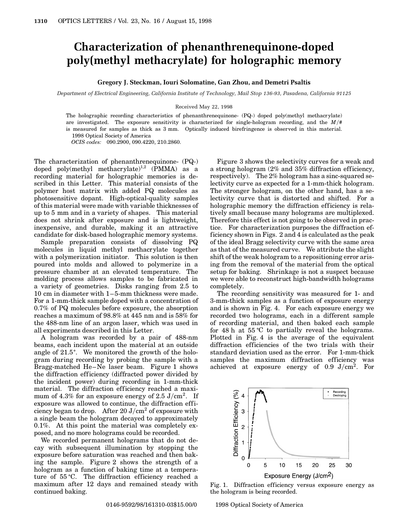## **Characterization of phenanthrenequinone-doped poly(methyl methacrylate) for holographic memory**

## **Gregory J. Steckman, Iouri Solomatine, Gan Zhou, and Demetri Psaltis**

*Department of Electrical Engineering, California Institute of Technology, Mail Stop 136-93, Pasadena, California 91125*

## Received May 22, 1998

The holographic recording characteristics of phenanthrenequinone- (PQ-) doped poly(methyl methacrylate) are investigated. The exposure sensitivity is characterized for single-hologram recording, and the  $M/\#$ is measured for samples as thick as 3 mm. Optically induced birefringence is observed in this material. 1998 Optical Society of America

*OCIS codes:* 090.2900, 090.4220, 210.2860.

The characterization of phenanthrenequinone- (PQ-) doped poly(methyl methacrylate)<sup>1,2</sup> (PMMA) as a recording material for holographic memories is described in this Letter. This material consists of the polymer host matrix with added PQ molecules as photosensitive dopant. High-optical-quality samples of this material were made with variable thicknesses of up to 5 mm and in a variety of shapes. This material does not shrink after exposure and is lightweight, inexpensive, and durable, making it an attractive candidate for disk-based holographic memory systems.

Sample preparation consists of dissolving PQ molecules in liquid methyl methacrylate together with a polymerization initiator. This solution is then poured into molds and allowed to polymerize in a pressure chamber at an elevated temperature. The molding process allows samples to be fabricated in a variety of geometries. Disks ranging from 2.5 to 10 cm in diameter with 1–5-mm thickness were made. For a 1-mm-thick sample doped with a concentration of 0.7% of PQ molecules before exposure, the absorption reaches a maximum of 98.8% at 445 nm and is 58% for the 488-nm line of an argon laser, which was used in all experiments described in this Letter.

A hologram was recorded by a pair of 488-nm beams, each incident upon the material at an outside angle of  $21.5^{\circ}$ . We monitored the growth of the hologram during recording by probing the sample with a Bragg-matched He–Ne laser beam. Figure 1 shows the diffraction efficiency (diffracted power divided by the incident power) during recording in 1-mm-thick material. The diffraction efficiency reached a maximum of 4.3% for an exposure energy of  $2.5 \text{ J/cm}^2$ . If exposure was allowed to continue, the diffraction efficiency began to drop. After  $20 \text{ J/cm}^2$  of exposure with a single beam the hologram decayed to approximately 0.1%. At this point the material was completely exposed, and no more holograms could be recorded.

We recorded permanent holograms that do not decay with subsequent illumination by stopping the exposure before saturation was reached and then baking the sample. Figure 2 shows the strength of a hologram as a function of baking time at a temperature of  $55^{\circ}$ C. The diffraction efficiency reached a maximum after 12 days and remained steady with continued baking.

Figure 3 shows the selectivity curves for a weak and a strong hologram (2% and 35% diffraction efficiency, respectively). The 2% hologram has a sinc-squared selectivity curve as expected for a 1-mm-thick hologram. The stronger hologram, on the other hand, has a selectivity curve that is distorted and shifted. For a holographic memory the diffraction efficiency is relatively small because many holograms are multiplexed. Therefore this effect is not going to be observed in practice. For characterization purposes the diffraction efficiency shown in Figs. 2 and 4 is calculated as the peak of the ideal Bragg selectivity curve with the same area as that of the measured curve. We attribute the slight shift of the weak hologram to a repositioning error arising from the removal of the material from the optical setup for baking. Shrinkage is not a suspect because we were able to reconstruct high-bandwidth holograms completely.

The recording sensitivity was measured for 1- and 3-mm-thick samples as a function of exposure energy and is shown in Fig. 4. For each exposure energy we recorded two holograms, each in a different sample of recording material, and then baked each sample for 48 h at  $55^{\circ}$ C to partially reveal the holograms. Plotted in Fig. 4 is the average of the equivalent diffraction efficiencies of the two trials with their standard deviation used as the error. For 1-mm-thick samples the maximum diffraction efficiency was achieved at exposure energy of  $0.9$  J/cm<sup>2</sup>. For



Fig. 1. Diffraction efficiency versus exposure energy as the hologram is being recorded.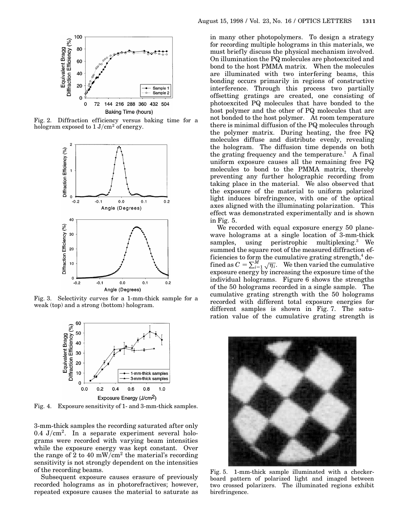

Fig. 2. Diffraction efficiency versus baking time for a hologram exposed to  $1 J/cm<sup>2</sup>$  of energy.



Fig. 3. Selectivity curves for a 1-mm-thick sample for a weak (top) and a strong (bottom) hologram.



Fig. 4. Exposure sensitivity of 1- and 3-mm-thick samples.

3-mm-thick samples the recording saturated after only 0.4 J/cm<sup>2</sup>. In a separate experiment several holograms were recorded with varying beam intensities while the exposure energy was kept constant. Over the range of 2 to 40 mW/cm<sup>2</sup> the material's recording sensitivity is not strongly dependent on the intensities of the recording beams.

Subsequent exposure causes erasure of previously recorded holograms as in photorefractives; however, repeated exposure causes the material to saturate as

in many other photopolymers. To design a strategy for recording multiple holograms in this materials, we must briefly discuss the physical mechanism involved. On illumination the PQ molecules are photoexcited and bond to the host PMMA matrix. When the molecules are illuminated with two interfering beams, this bonding occurs primarily in regions of constructive interference. Through this process two partially offsetting gratings are created, one consisting of photoexcited PQ molecules that have bonded to the host polymer and the other of PQ molecules that are not bonded to the host polymer. At room temperature there is minimal diffusion of the PQ molecules through the polymer matrix. During heating, the free PQ molecules diffuse and distribute evenly, revealing the hologram. The diffusion time depends on both the grating frequency and the temperature.<sup>1</sup> A final uniform exposure causes all the remaining free PQ molecules to bond to the PMMA matrix, thereby preventing any further holographic recording from taking place in the material. We also observed that the exposure of the material to uniform polarized light induces birefringence, with one of the optical axes aligned with the illuminating polarization. This effect was demonstrated experimentally and is shown in Fig. 5.

We recorded with equal exposure energy 50 planewave holograms at a single location of 3-mm-thick samples, using peristrophic multiplexing.<sup>3</sup> We summed the square root of the measured diffraction efficiencies to form the cumulative grating strength, $4$  defined as  $C = \sum_{i=1}^{M} \sqrt{\eta_i}$ . We then varied the cumulative exposure energy by increasing the exposure time of the individual holograms. Figure 6 shows the strengths of the 50 holograms recorded in a single sample. The cumulative grating strength with the 50 holograms recorded with different total exposure energies for different samples is shown in Fig. 7. The saturation value of the cumulative grating strength is



Fig. 5. 1-mm-thick sample illuminated with a checkerboard pattern of polarized light and imaged between two crossed polarizers. The illuminated regions exhibit birefringence.